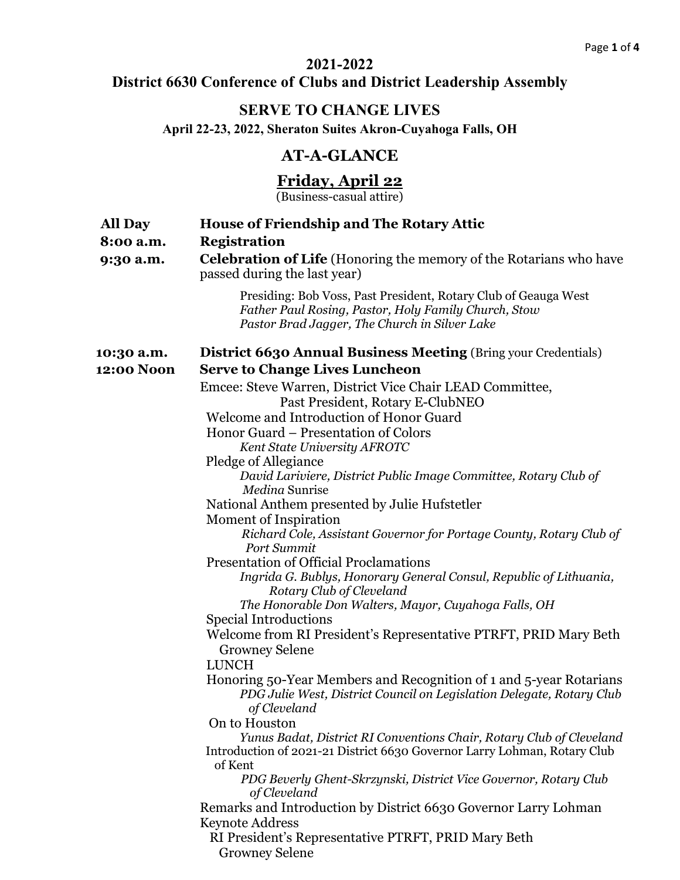#### **2021-2022**

# **District 6630 Conference of Clubs and District Leadership Assembly**

## **SERVE TO CHANGE LIVES**

**April 22-23, 2022, Sheraton Suites Akron-Cuyahoga Falls, OH**

# **AT-A-GLANCE**

#### **Friday, April 22**

(Business-casual attire)

| <b>All Day</b><br>8:00 a.m.<br>9:30 a.m. | <b>House of Friendship and The Rotary Attic</b><br><b>Registration</b><br><b>Celebration of Life</b> (Honoring the memory of the Rotarians who have<br>passed during the last year) |
|------------------------------------------|-------------------------------------------------------------------------------------------------------------------------------------------------------------------------------------|
|                                          | Presiding: Bob Voss, Past President, Rotary Club of Geauga West<br>Father Paul Rosing, Pastor, Holy Family Church, Stow<br>Pastor Brad Jagger, The Church in Silver Lake            |
| 10:30 a.m.                               | <b>District 6630 Annual Business Meeting (Bring your Credentials)</b>                                                                                                               |
| 12:00 Noon                               | <b>Serve to Change Lives Luncheon</b>                                                                                                                                               |
|                                          | Emcee: Steve Warren, District Vice Chair LEAD Committee,<br>Past President, Rotary E-ClubNEO                                                                                        |
|                                          | Welcome and Introduction of Honor Guard                                                                                                                                             |
|                                          | Honor Guard – Presentation of Colors                                                                                                                                                |
|                                          | Kent State University AFROTC                                                                                                                                                        |
|                                          | Pledge of Allegiance                                                                                                                                                                |
|                                          | David Lariviere, District Public Image Committee, Rotary Club of<br>Medina Sunrise                                                                                                  |
|                                          | National Anthem presented by Julie Hufstetler                                                                                                                                       |
|                                          | Moment of Inspiration                                                                                                                                                               |
|                                          | Richard Cole, Assistant Governor for Portage County, Rotary Club of<br>Port Summit                                                                                                  |
|                                          | <b>Presentation of Official Proclamations</b>                                                                                                                                       |
|                                          | Ingrida G. Bublys, Honorary General Consul, Republic of Lithuania,<br>Rotary Club of Cleveland                                                                                      |
|                                          | The Honorable Don Walters, Mayor, Cuyahoga Falls, OH                                                                                                                                |
|                                          | <b>Special Introductions</b>                                                                                                                                                        |
|                                          | Welcome from RI President's Representative PTRFT, PRID Mary Beth<br><b>Growney Selene</b>                                                                                           |
|                                          | <b>LUNCH</b>                                                                                                                                                                        |
|                                          | Honoring 50-Year Members and Recognition of 1 and 5-year Rotarians<br>PDG Julie West, District Council on Legislation Delegate, Rotary Club<br>of Cleveland                         |
|                                          | On to Houston                                                                                                                                                                       |
|                                          | Yunus Badat, District RI Conventions Chair, Rotary Club of Cleveland                                                                                                                |
|                                          | Introduction of 2021-21 District 6630 Governor Larry Lohman, Rotary Club<br>of Kent                                                                                                 |
|                                          | PDG Beverly Ghent-Skrzynski, District Vice Governor, Rotary Club<br>of Cleveland                                                                                                    |
|                                          | Remarks and Introduction by District 6630 Governor Larry Lohman<br><b>Keynote Address</b>                                                                                           |
|                                          | RI President's Representative PTRFT, PRID Mary Beth<br><b>Growney Selene</b>                                                                                                        |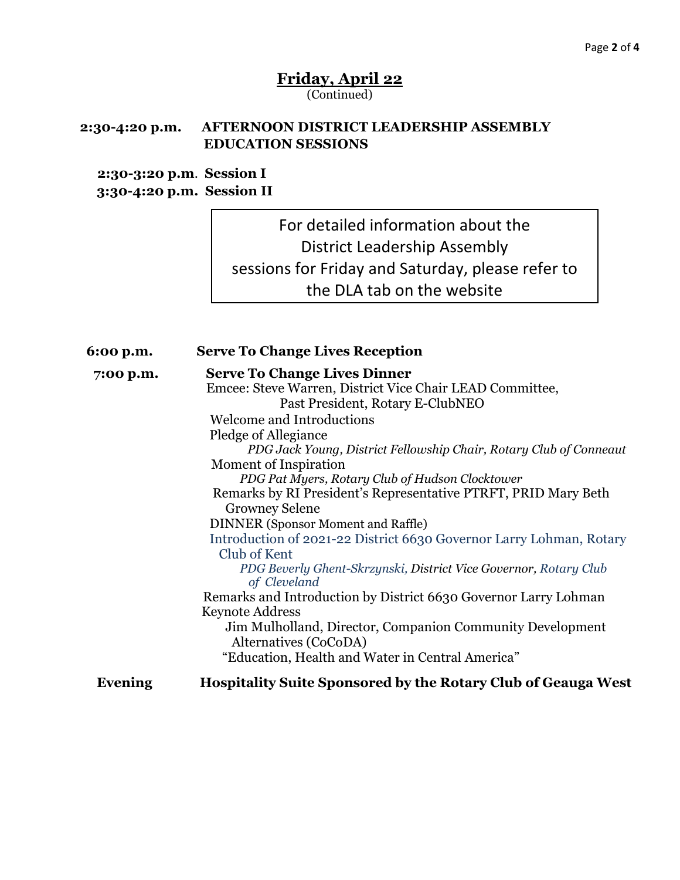### **Friday, April 22** (Continued)

#### **2:30-4:20 p.m. AFTERNOON DISTRICT LEADERSHIP ASSEMBLY EDUCATION SESSIONS**

#### **2:30-3:20 p.m**. **Session I 3:30-4:20 p.m. Session II**

For detailed information about the District Leadership Assembly sessions for Friday and Saturday, please refer to the DLA tab on the website

| 6:00 p.m. | <b>Serve To Change Lives Reception</b>                               |
|-----------|----------------------------------------------------------------------|
| 7:00 p.m. | <b>Serve To Change Lives Dinner</b>                                  |
|           | Emcee: Steve Warren, District Vice Chair LEAD Committee,             |
|           | Past President, Rotary E-ClubNEO                                     |
|           | <b>Welcome and Introductions</b>                                     |
|           | Pledge of Allegiance                                                 |
|           | PDG Jack Young, District Fellowship Chair, Rotary Club of Conneaut   |
|           | Moment of Inspiration                                                |
|           | PDG Pat Myers, Rotary Club of Hudson Clocktower                      |
|           | Remarks by RI President's Representative PTRFT, PRID Mary Beth       |
|           | <b>Growney Selene</b>                                                |
|           | <b>DINNER</b> (Sponsor Moment and Raffle)                            |
|           | Introduction of 2021-22 District 6630 Governor Larry Lohman, Rotary  |
|           | Club of Kent                                                         |
|           | PDG Beverly Ghent-Skrzynski, District Vice Governor, Rotary Club     |
|           | of Cleveland                                                         |
|           | Remarks and Introduction by District 6630 Governor Larry Lohman      |
|           | <b>Keynote Address</b>                                               |
|           | Jim Mulholland, Director, Companion Community Development            |
|           | Alternatives (CoCoDA)                                                |
|           | "Education, Health and Water in Central America"                     |
| Evening   | <b>Hospitality Suite Sponsored by the Rotary Club of Geauga West</b> |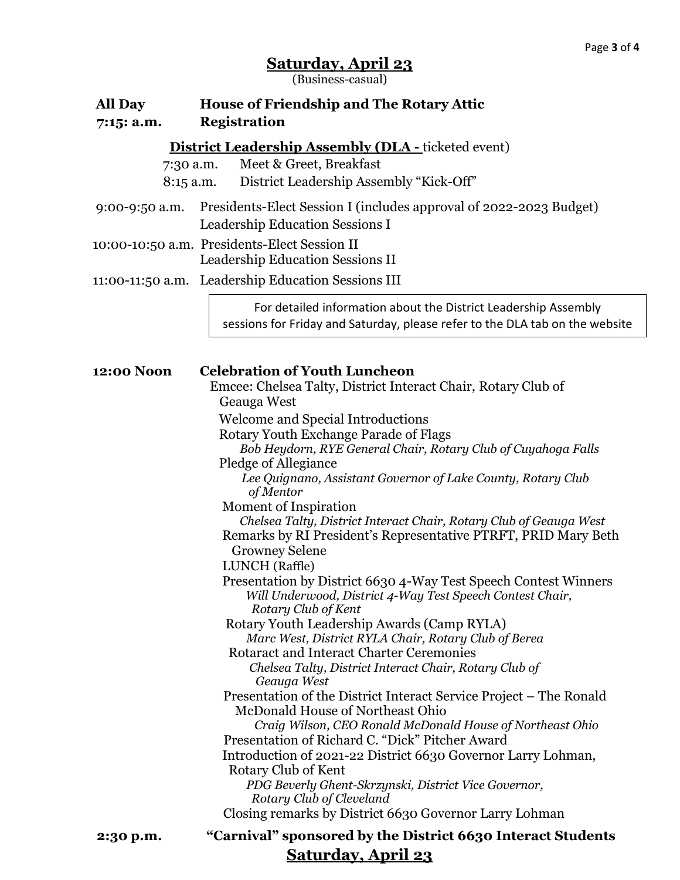### **Saturday, April 23**

(Business-casual)

| <b>All Day</b><br>7:15: a.m. | <b>House of Friendship and The Rotary Attic</b><br><b>Registration</b>                                                                                                                                                                           |
|------------------------------|--------------------------------------------------------------------------------------------------------------------------------------------------------------------------------------------------------------------------------------------------|
| 7:30 a.m.<br>$8:15$ a.m.     | <b>District Leadership Assembly (DLA - ticketed event)</b><br>Meet & Greet, Breakfast<br>District Leadership Assembly "Kick-Off"                                                                                                                 |
| $9:00-9:50$ a.m.             | Presidents-Elect Session I (includes approval of 2022-2023 Budget)<br>Leadership Education Sessions I                                                                                                                                            |
|                              | 10:00-10:50 a.m. Presidents-Elect Session II<br>Leadership Education Sessions II                                                                                                                                                                 |
|                              | 11:00-11:50 a.m. Leadership Education Sessions III                                                                                                                                                                                               |
|                              | For detailed information about the District Leadership Assembly<br>sessions for Friday and Saturday, please refer to the DLA tab on the website                                                                                                  |
| 12:00 Noon                   | <b>Celebration of Youth Luncheon</b><br>Emcee: Chelsea Talty, District Interact Chair, Rotary Club of<br>Geauga West                                                                                                                             |
|                              | Welcome and Special Introductions<br>Rotary Youth Exchange Parade of Flags<br>Bob Heydorn, RYE General Chair, Rotary Club of Cuyahoga Falls<br>Pledge of Allegiance<br>Lee Quignano, Assistant Governor of Lake County, Rotary Club<br>of Mentor |
|                              | Moment of Inspiration<br>Chelsea Talty, District Interact Chair, Rotary Club of Geauga West<br>Remarks by RI President's Representative PTRFT, PRID Mary Beth<br><b>Growney Selene</b><br>LUNCH (Raffle)                                         |
|                              | Presentation by District 6630 4-Way Test Speech Contest Winners<br>Will Underwood, District 4-Way Test Speech Contest Chair,<br>Rotary Club of Kent                                                                                              |
|                              | Rotary Youth Leadership Awards (Camp RYLA)<br>Marc West, District RYLA Chair, Rotary Club of Berea                                                                                                                                               |
|                              | Rotaract and Interact Charter Ceremonies<br>Chelsea Talty, District Interact Chair, Rotary Club of<br>Geauga West                                                                                                                                |
|                              | Presentation of the District Interact Service Project – The Ronald<br>McDonald House of Northeast Ohio<br>Craig Wilson, CEO Ronald McDonald House of Northeast Ohio                                                                              |
|                              | Presentation of Richard C. "Dick" Pitcher Award<br>Introduction of 2021-22 District 6630 Governor Larry Lohman,<br>Rotary Club of Kent<br>PDG Beverly Ghent-Skrzynski, District Vice Governor,<br>Rotary Club of Cleveland                       |
|                              | Closing remarks by District 6630 Governor Larry Lohman                                                                                                                                                                                           |
| 2:30 p.m.                    | "Carnival" sponsored by the District 6630 Interact Students                                                                                                                                                                                      |

**Saturday, April 23**